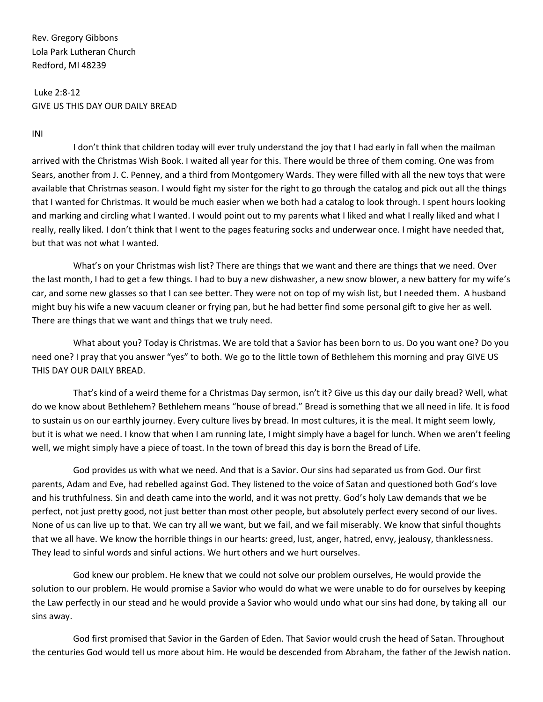Rev. Gregory Gibbons Lola Park Lutheran Church Redford, MI 48239

## Luke 2:8-12 GIVE US THIS DAY OUR DAILY BREAD

INI

I don't think that children today will ever truly understand the joy that I had early in fall when the mailman arrived with the Christmas Wish Book. I waited all year for this. There would be three of them coming. One was from Sears, another from J. C. Penney, and a third from Montgomery Wards. They were filled with all the new toys that were available that Christmas season. I would fight my sister for the right to go through the catalog and pick out all the things that I wanted for Christmas. It would be much easier when we both had a catalog to look through. I spent hours looking and marking and circling what I wanted. I would point out to my parents what I liked and what I really liked and what I really, really liked. I don't think that I went to the pages featuring socks and underwear once. I might have needed that, but that was not what I wanted.

What's on your Christmas wish list? There are things that we want and there are things that we need. Over the last month, I had to get a few things. I had to buy a new dishwasher, a new snow blower, a new battery for my wife's car, and some new glasses so that I can see better. They were not on top of my wish list, but I needed them. A husband might buy his wife a new vacuum cleaner or frying pan, but he had better find some personal gift to give her as well. There are things that we want and things that we truly need.

What about you? Today is Christmas. We are told that a Savior has been born to us. Do you want one? Do you need one? I pray that you answer "yes" to both. We go to the little town of Bethlehem this morning and pray GIVE US THIS DAY OUR DAILY BREAD.

That's kind of a weird theme for a Christmas Day sermon, isn't it? Give us this day our daily bread? Well, what do we know about Bethlehem? Bethlehem means "house of bread." Bread is something that we all need in life. It is food to sustain us on our earthly journey. Every culture lives by bread. In most cultures, it is the meal. It might seem lowly, but it is what we need. I know that when I am running late, I might simply have a bagel for lunch. When we aren't feeling well, we might simply have a piece of toast. In the town of bread this day is born the Bread of Life.

God provides us with what we need. And that is a Savior. Our sins had separated us from God. Our first parents, Adam and Eve, had rebelled against God. They listened to the voice of Satan and questioned both God's love and his truthfulness. Sin and death came into the world, and it was not pretty. God's holy Law demands that we be perfect, not just pretty good, not just better than most other people, but absolutely perfect every second of our lives. None of us can live up to that. We can try all we want, but we fail, and we fail miserably. We know that sinful thoughts that we all have. We know the horrible things in our hearts: greed, lust, anger, hatred, envy, jealousy, thanklessness. They lead to sinful words and sinful actions. We hurt others and we hurt ourselves.

God knew our problem. He knew that we could not solve our problem ourselves, He would provide the solution to our problem. He would promise a Savior who would do what we were unable to do for ourselves by keeping the Law perfectly in our stead and he would provide a Savior who would undo what our sins had done, by taking all our sins away.

God first promised that Savior in the Garden of Eden. That Savior would crush the head of Satan. Throughout the centuries God would tell us more about him. He would be descended from Abraham, the father of the Jewish nation.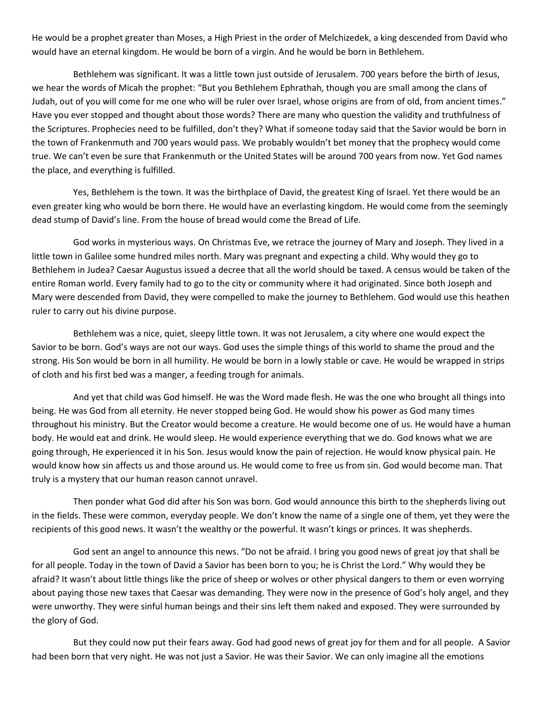He would be a prophet greater than Moses, a High Priest in the order of Melchizedek, a king descended from David who would have an eternal kingdom. He would be born of a virgin. And he would be born in Bethlehem.

Bethlehem was significant. It was a little town just outside of Jerusalem. 700 years before the birth of Jesus, we hear the words of Micah the prophet: "But you Bethlehem Ephrathah, though you are small among the clans of Judah, out of you will come for me one who will be ruler over Israel, whose origins are from of old, from ancient times." Have you ever stopped and thought about those words? There are many who question the validity and truthfulness of the Scriptures. Prophecies need to be fulfilled, don't they? What if someone today said that the Savior would be born in the town of Frankenmuth and 700 years would pass. We probably wouldn't bet money that the prophecy would come true. We can't even be sure that Frankenmuth or the United States will be around 700 years from now. Yet God names the place, and everything is fulfilled.

Yes, Bethlehem is the town. It was the birthplace of David, the greatest King of Israel. Yet there would be an even greater king who would be born there. He would have an everlasting kingdom. He would come from the seemingly dead stump of David's line. From the house of bread would come the Bread of Life.

God works in mysterious ways. On Christmas Eve, we retrace the journey of Mary and Joseph. They lived in a little town in Galilee some hundred miles north. Mary was pregnant and expecting a child. Why would they go to Bethlehem in Judea? Caesar Augustus issued a decree that all the world should be taxed. A census would be taken of the entire Roman world. Every family had to go to the city or community where it had originated. Since both Joseph and Mary were descended from David, they were compelled to make the journey to Bethlehem. God would use this heathen ruler to carry out his divine purpose.

Bethlehem was a nice, quiet, sleepy little town. It was not Jerusalem, a city where one would expect the Savior to be born. God's ways are not our ways. God uses the simple things of this world to shame the proud and the strong. His Son would be born in all humility. He would be born in a lowly stable or cave. He would be wrapped in strips of cloth and his first bed was a manger, a feeding trough for animals.

And yet that child was God himself. He was the Word made flesh. He was the one who brought all things into being. He was God from all eternity. He never stopped being God. He would show his power as God many times throughout his ministry. But the Creator would become a creature. He would become one of us. He would have a human body. He would eat and drink. He would sleep. He would experience everything that we do. God knows what we are going through, He experienced it in his Son. Jesus would know the pain of rejection. He would know physical pain. He would know how sin affects us and those around us. He would come to free us from sin. God would become man. That truly is a mystery that our human reason cannot unravel.

Then ponder what God did after his Son was born. God would announce this birth to the shepherds living out in the fields. These were common, everyday people. We don't know the name of a single one of them, yet they were the recipients of this good news. It wasn't the wealthy or the powerful. It wasn't kings or princes. It was shepherds.

God sent an angel to announce this news. "Do not be afraid. I bring you good news of great joy that shall be for all people. Today in the town of David a Savior has been born to you; he is Christ the Lord." Why would they be afraid? It wasn't about little things like the price of sheep or wolves or other physical dangers to them or even worrying about paying those new taxes that Caesar was demanding. They were now in the presence of God's holy angel, and they were unworthy. They were sinful human beings and their sins left them naked and exposed. They were surrounded by the glory of God.

But they could now put their fears away. God had good news of great joy for them and for all people. A Savior had been born that very night. He was not just a Savior. He was their Savior. We can only imagine all the emotions